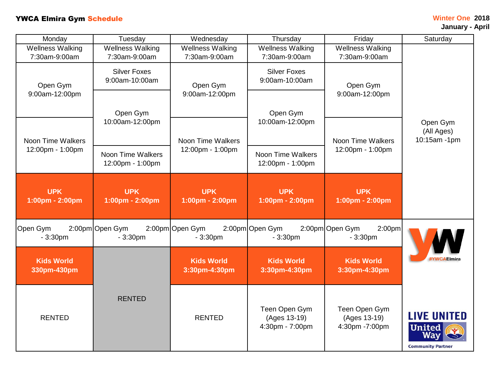## **TWCA Elmira Gym Schedule Winter One 2018**

| Monday                                                                        | Tuesday                                      | Wednesday                                                              | Thursday                                         | Friday                                                                 | Saturday                                                               |
|-------------------------------------------------------------------------------|----------------------------------------------|------------------------------------------------------------------------|--------------------------------------------------|------------------------------------------------------------------------|------------------------------------------------------------------------|
| <b>Wellness Walking</b>                                                       | <b>Wellness Walking</b>                      | <b>Wellness Walking</b>                                                | <b>Wellness Walking</b>                          | <b>Wellness Walking</b>                                                |                                                                        |
| 7:30am-9:00am                                                                 | 7:30am-9:00am                                | 7:30am-9:00am                                                          | 7:30am-9:00am                                    | 7:30am-9:00am                                                          | Open Gym<br>(All Ages)<br>10:15am -1pm                                 |
| Open Gym<br>9:00am-12:00pm                                                    | <b>Silver Foxes</b><br>9:00am-10:00am        | Open Gym<br>9:00am-12:00pm                                             | <b>Silver Foxes</b><br>9:00am-10:00am            | Open Gym                                                               |                                                                        |
|                                                                               | Open Gym<br>10:00am-12:00pm                  |                                                                        | Open Gym                                         | 9:00am-12:00pm                                                         |                                                                        |
| <b>Noon Time Walkers</b><br>12:00pm - 1:00pm<br><b>UPK</b><br>1:00pm - 2:00pm |                                              | Noon Time Walkers<br>12:00pm - 1:00pm<br><b>UPK</b><br>1:00pm - 2:00pm | 10:00am-12:00pm                                  | Noon Time Walkers<br>12:00pm - 1:00pm<br><b>UPK</b><br>1:00pm - 2:00pm |                                                                        |
|                                                                               | <b>Noon Time Walkers</b><br>12:00pm - 1:00pm |                                                                        | Noon Time Walkers<br>12:00pm - 1:00pm            |                                                                        |                                                                        |
|                                                                               | <b>UPK</b><br>1:00pm - 2:00pm                |                                                                        | <b>UPK</b><br>1:00pm - 2:00pm                    |                                                                        |                                                                        |
| Open Gym<br>$-3:30pm$                                                         | 2:00pm Open Gym<br>$-3:30pm$                 | 2:00pm Open Gym<br>$-3:30pm$                                           | 2:00pm Open Gym<br>$-3:30pm$                     | 2:00pm Open Gym<br>2:00 <sub>pm</sub><br>$-3:30pm$                     | <b>¥YWCAEImira</b>                                                     |
| <b>Kids World</b><br>330pm-430pm                                              |                                              | <b>Kids World</b><br>3:30pm-4:30pm                                     | <b>Kids World</b><br>3:30pm-4:30pm               | <b>Kids World</b><br>3:30pm-4:30pm                                     |                                                                        |
| <b>RENTED</b>                                                                 | <b>RENTED</b>                                | <b>RENTED</b>                                                          | Teen Open Gym<br>(Ages 13-19)<br>4:30pm - 7:00pm | Teen Open Gym<br>(Ages 13-19)<br>4:30pm -7:00pm                        | <b>LIVE UNITED</b><br><b>United</b><br>Wav<br><b>Community Partner</b> |